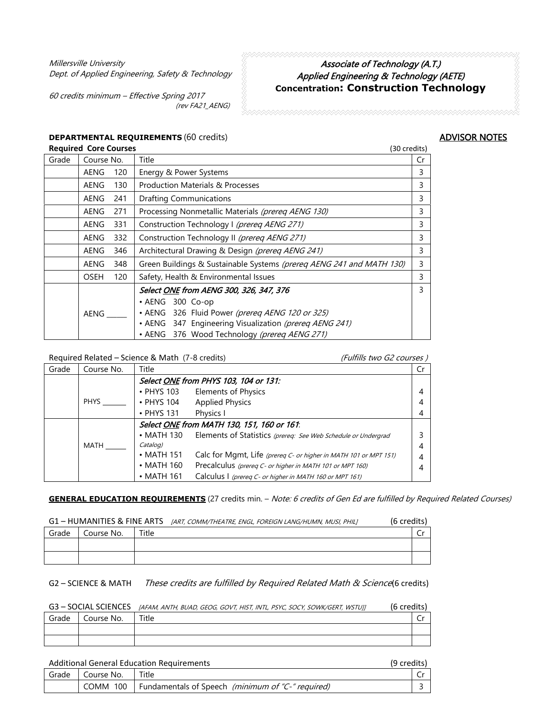Millersville University Dept. of Applied Engineering, Safety & Technology

60 credits minimum – Effective Spring 2017 (rev FA21\_AENG)

# Associate of Technology (A.T.) Applied Engineering & Technology (AETE) **Concentration: Construction Technology**

## **DEPARTMENTAL REQUIREMENTS** (60 credits) ADVISOR NOTES

|       | <b>Required Core Courses</b> |     | (30 credits)                                                         |    |  |  |
|-------|------------------------------|-----|----------------------------------------------------------------------|----|--|--|
| Grade | Course No.                   |     | Title                                                                | Cr |  |  |
|       | <b>AENG</b>                  | 120 | Energy & Power Systems                                               | 3  |  |  |
|       | AENG                         | 130 | <b>Production Materials &amp; Processes</b>                          | 3  |  |  |
|       | AENG                         | 241 | <b>Drafting Communications</b>                                       | 3  |  |  |
|       | AENG                         | 271 | Processing Nonmetallic Materials (prereq AENG 130)                   | 3  |  |  |
|       | AENG                         | 331 | Construction Technology I (prereq AENG 271)                          | 3  |  |  |
|       | AENG                         | 332 | Construction Technology II (prereq AENG 271)                         |    |  |  |
|       | <b>AENG</b>                  | 346 | Architectural Drawing & Design (prereg AENG 241)                     |    |  |  |
|       | AENG                         | 348 | Green Buildings & Sustainable Systems (prereq AENG 241 and MATH 130) | 3  |  |  |
|       | OSEH                         | 120 | Safety, Health & Environmental Issues                                | 3  |  |  |
|       |                              |     | Select ONE from AENG 300, 326, 347, 376                              | 3  |  |  |
|       |                              |     | • AENG 300 Co-op                                                     |    |  |  |
|       | AENG                         |     | • AENG 326 Fluid Power (prereq AENG 120 or 325)                      |    |  |  |
|       |                              |     | • AENG 347 Engineering Visualization (prereq AENG 241)               |    |  |  |
|       |                              |     | 376 Wood Technology (prereg AENG 271)<br>$\bullet$ AENG              |    |  |  |
|       |                              |     |                                                                      |    |  |  |

Required Related – Science & Math (7-8 credits) (Fulfills two G2 courses )

| Grade | Course No.  | Title                                      |                                                                  |  |
|-------|-------------|--------------------------------------------|------------------------------------------------------------------|--|
|       |             | Select ONE from PHYS 103, 104 or 131:      |                                                                  |  |
|       |             | • PHYS 103                                 | <b>Elements of Physics</b>                                       |  |
|       | <b>PHYS</b> | • PHYS 104                                 | <b>Applied Physics</b>                                           |  |
|       |             | $\cdot$ PHYS 131                           | Physics I                                                        |  |
|       |             | Select ONE from MATH 130, 151, 160 or 161: |                                                                  |  |
|       |             | • MATH 130                                 | Elements of Statistics (prereg: See Web Schedule or Undergrad    |  |
|       | MATH        | Catalog)                                   |                                                                  |  |
|       |             | $\cdot$ MATH 151                           | Calc for Mgmt, Life (prereg C- or higher in MATH 101 or MPT 151) |  |
|       |             | $\cdot$ MATH 160                           | Precalculus (prereg C- or higher in MATH 101 or MPT 160)         |  |
|       |             | $\cdot$ MATH 161                           | Calculus I (prereg C- or higher in MATH 160 or MPT 161)          |  |

**GENERAL EDUCATION REQUIREMENTS** (27 credits min. – Note: 6 credits of Gen Ed are fulfilled by Required Related Courses)

#### G1 - HUMANITIES & FINE ARTS [ART, COMM/THEATRE, ENGL, FOREIGN LANG/HUMN, MUSI, PHIL] (6 credits)

| Grade | Course No. | Title | ∼ |
|-------|------------|-------|---|
|       |            |       |   |
|       |            |       |   |

### G2 – SCIENCE & MATH These credits are fulfilled by Required Related Math & Science(6 credits)

### G3 - SOCIAL SCIENCES [AFAM, ANTH, BUAD, GEOG, GOVT, HIST, INTL, PSYC, SOCY, SOWK/GERT, WSTUJ] (6 credits)

| Grade | Course No. | Title | ∼ |
|-------|------------|-------|---|
|       |            |       |   |
|       |            |       |   |

## Additional General Education Requirements (9 credits)

| .     |                    |                                                   |        |
|-------|--------------------|---------------------------------------------------|--------|
| Grade | Course No.         | Title                                             | ∽<br>◡ |
|       | 100<br><b>COMM</b> | Fundamentals of Speech (minimum of "C-" required) | -<br>◡ |